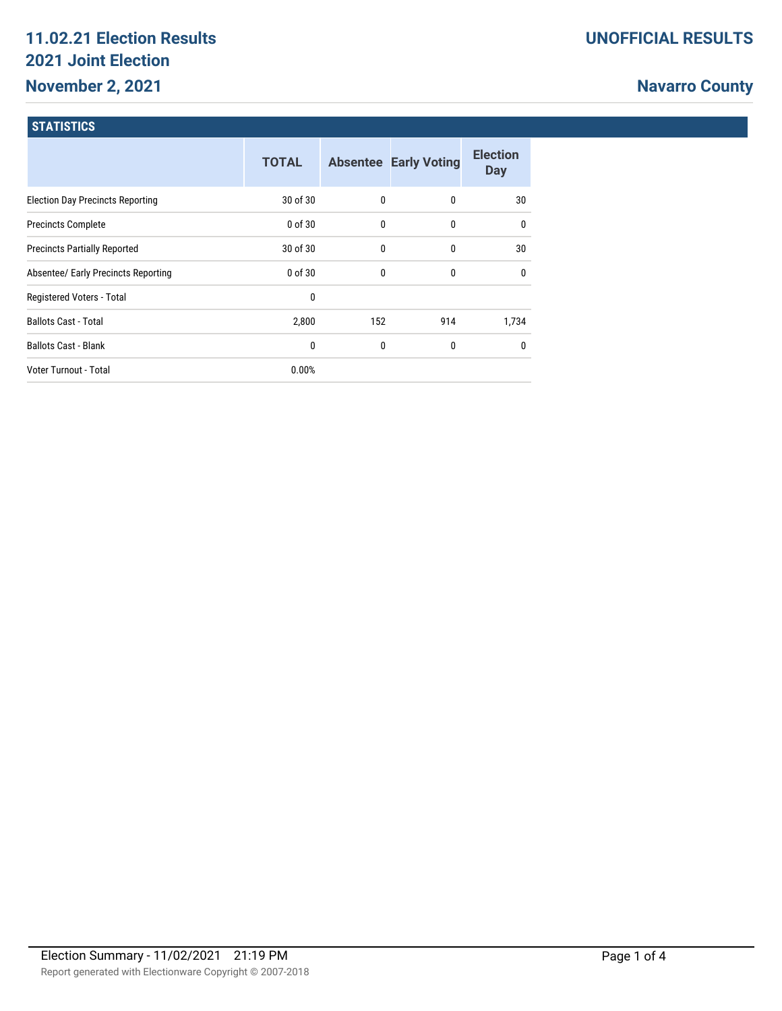# **11.02.21 Election Results 2021 Joint Election November 2, 2021**

# **Navarro County**

## **STATISTICS**

|                                         | <b>TOTAL</b> |     | <b>Absentee Early Voting</b> | <b>Election</b><br><b>Day</b> |
|-----------------------------------------|--------------|-----|------------------------------|-------------------------------|
| <b>Election Day Precincts Reporting</b> | 30 of 30     | 0   | 0                            | 30                            |
| <b>Precincts Complete</b>               | $0$ of $30$  | 0   | 0                            | $\mathbf{0}$                  |
| <b>Precincts Partially Reported</b>     | 30 of 30     | 0   | 0                            | 30                            |
| Absentee/ Early Precincts Reporting     | $0$ of $30$  | 0   | 0                            | $\mathbf{0}$                  |
| Registered Voters - Total               | 0            |     |                              |                               |
| <b>Ballots Cast - Total</b>             | 2,800        | 152 | 914                          | 1,734                         |
| <b>Ballots Cast - Blank</b>             | 0            | 0   | 0                            | $\mathbf{0}$                  |
| <b>Voter Turnout - Total</b>            | 0.00%        |     |                              |                               |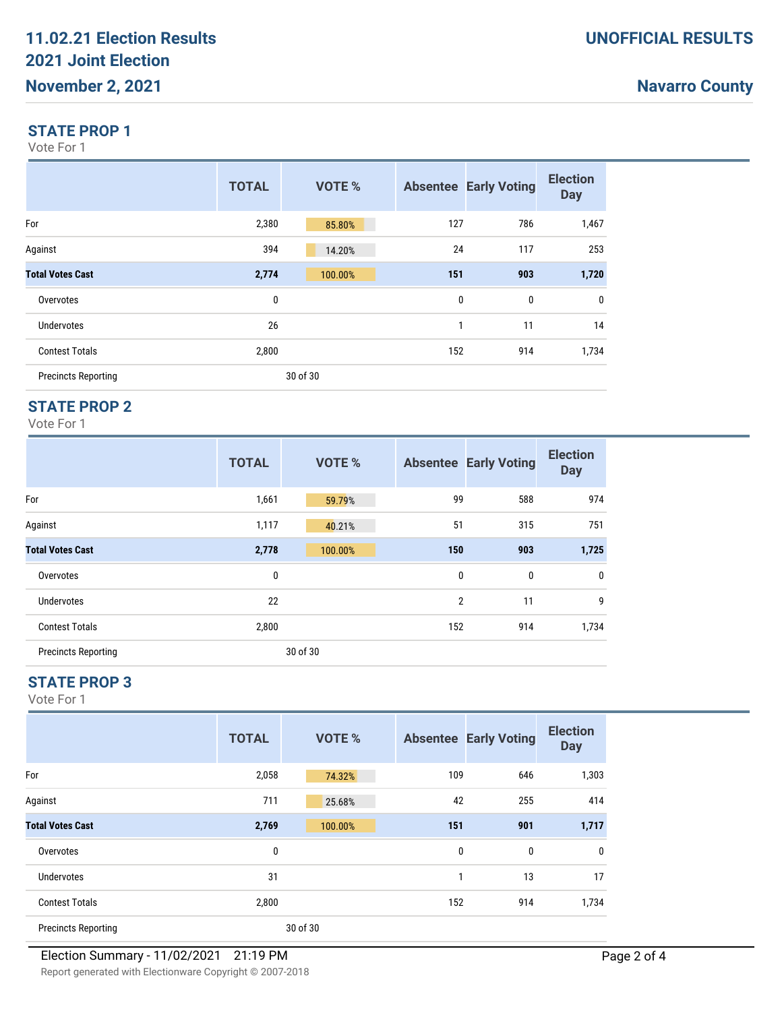## **Navarro County**

#### **STATE PROP 1**

Vote For 1

|                            | <b>TOTAL</b> | <b>VOTE %</b> |     | <b>Absentee Early Voting</b> | <b>Election</b><br><b>Day</b> |
|----------------------------|--------------|---------------|-----|------------------------------|-------------------------------|
| For                        | 2,380        | 85.80%        | 127 | 786                          | 1,467                         |
| Against                    | 394          | 14.20%        | 24  | 117                          | 253                           |
| <b>Total Votes Cast</b>    | 2,774        | 100.00%       | 151 | 903                          | 1,720                         |
| Overvotes                  | 0            |               | 0   | 0                            | $\mathbf 0$                   |
| <b>Undervotes</b>          | 26           |               | 1   | 11                           | 14                            |
| <b>Contest Totals</b>      | 2,800        |               | 152 | 914                          | 1,734                         |
| <b>Precincts Reporting</b> |              | 30 of 30      |     |                              |                               |

### **STATE PROP 2**

Vote For 1

|                            | <b>TOTAL</b> | <b>VOTE %</b> |                | <b>Absentee Early Voting</b> | <b>Election</b><br><b>Day</b> |
|----------------------------|--------------|---------------|----------------|------------------------------|-------------------------------|
| For                        | 1,661        | 59.79%        | 99             | 588                          | 974                           |
| Against                    | 1,117        | 40.21%        | 51             | 315                          | 751                           |
| <b>Total Votes Cast</b>    | 2,778        | 100.00%       | 150            | 903                          | 1,725                         |
| Overvotes                  | 0            |               | 0              | 0                            | $\pmb{0}$                     |
| <b>Undervotes</b>          | 22           |               | $\overline{2}$ | 11                           | 9                             |
| <b>Contest Totals</b>      | 2,800        |               | 152            | 914                          | 1,734                         |
| <b>Precincts Reporting</b> |              | 30 of 30      |                |                              |                               |

## **STATE PROP 3**

Vote For 1

|                            | <b>TOTAL</b> | <b>VOTE %</b> |     | <b>Absentee Early Voting</b> | <b>Election</b><br><b>Day</b> |
|----------------------------|--------------|---------------|-----|------------------------------|-------------------------------|
| For                        | 2,058        | 74.32%        | 109 | 646                          | 1,303                         |
| Against                    | 711          | 25.68%        | 42  | 255                          | 414                           |
| <b>Total Votes Cast</b>    | 2,769        | 100.00%       | 151 | 901                          | 1,717                         |
| Overvotes                  | 0            |               | 0   | 0                            | 0                             |
| Undervotes                 | 31           |               | 1   | 13                           | 17                            |
| <b>Contest Totals</b>      | 2,800        |               | 152 | 914                          | 1,734                         |
| <b>Precincts Reporting</b> |              | 30 of 30      |     |                              |                               |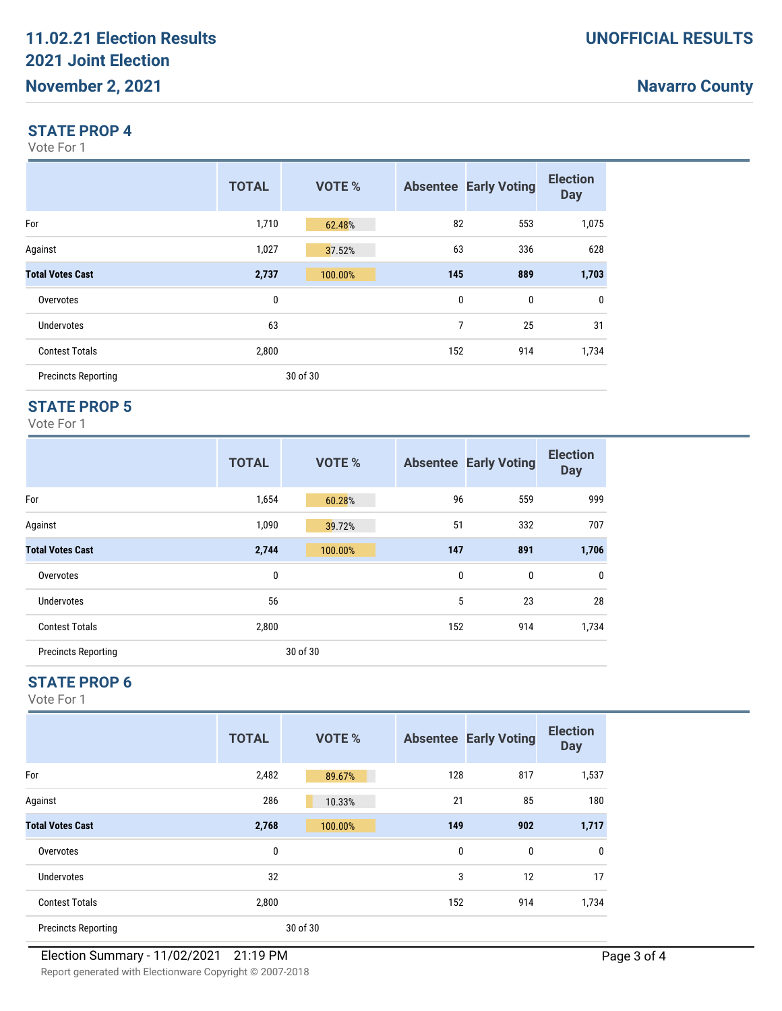## **Navarro County**

#### **STATE PROP 4**

Vote For 1

|                            | <b>TOTAL</b> | <b>VOTE %</b> |     | <b>Absentee Early Voting</b> | <b>Election</b><br><b>Day</b> |
|----------------------------|--------------|---------------|-----|------------------------------|-------------------------------|
| For                        | 1,710        | 62.48%        | 82  | 553                          | 1,075                         |
| Against                    | 1,027        | 37.52%        | 63  | 336                          | 628                           |
| <b>Total Votes Cast</b>    | 2,737        | 100.00%       | 145 | 889                          | 1,703                         |
| Overvotes                  | 0            |               | 0   | 0                            | 0                             |
| <b>Undervotes</b>          | 63           |               | 7   | 25                           | 31                            |
| <b>Contest Totals</b>      | 2,800        |               | 152 | 914                          | 1,734                         |
| <b>Precincts Reporting</b> |              | 30 of 30      |     |                              |                               |

### **STATE PROP 5**

Vote For 1

|                            | <b>TOTAL</b> | <b>VOTE %</b> |     | <b>Absentee Early Voting</b> | <b>Election</b><br><b>Day</b> |
|----------------------------|--------------|---------------|-----|------------------------------|-------------------------------|
| For                        | 1,654        | 60.28%        | 96  | 559                          | 999                           |
| Against                    | 1,090        | 39.72%        | 51  | 332                          | 707                           |
| <b>Total Votes Cast</b>    | 2,744        | 100.00%       | 147 | 891                          | 1,706                         |
| Overvotes                  | $\bf{0}$     |               | 0   | 0                            | $\mathbf 0$                   |
| <b>Undervotes</b>          | 56           |               | 5   | 23                           | 28                            |
| <b>Contest Totals</b>      | 2,800        |               | 152 | 914                          | 1,734                         |
| <b>Precincts Reporting</b> |              | 30 of 30      |     |                              |                               |

## **STATE PROP 6**

Vote For 1

|                            | <b>TOTAL</b> | <b>VOTE %</b> |     | <b>Absentee Early Voting</b> | <b>Election</b><br><b>Day</b> |
|----------------------------|--------------|---------------|-----|------------------------------|-------------------------------|
| For                        | 2,482        | 89.67%        | 128 | 817                          | 1,537                         |
| Against                    | 286          | 10.33%        | 21  | 85                           | 180                           |
| <b>Total Votes Cast</b>    | 2,768        | 100.00%       | 149 | 902                          | 1,717                         |
| Overvotes                  | 0            |               | 0   | 0                            | $\mathbf{0}$                  |
| Undervotes                 | 32           |               | 3   | 12                           | 17                            |
| <b>Contest Totals</b>      | 2,800        |               | 152 | 914                          | 1,734                         |
| <b>Precincts Reporting</b> |              | 30 of 30      |     |                              |                               |